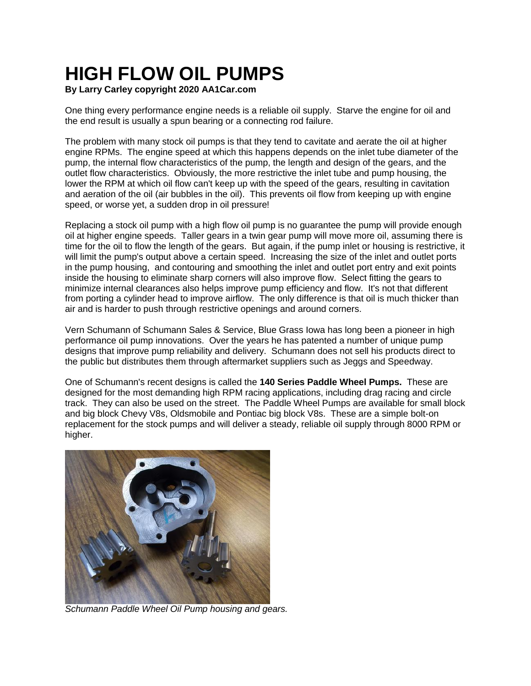## **HIGH FLOW OIL PUMPS**

## **By Larry Carley copyright 2020 AA1Car.com**

One thing every performance engine needs is a reliable oil supply. Starve the engine for oil and the end result is usually a spun bearing or a connecting rod failure.

The problem with many stock oil pumps is that they tend to cavitate and aerate the oil at higher engine RPMs. The engine speed at which this happens depends on the inlet tube diameter of the pump, the internal flow characteristics of the pump, the length and design of the gears, and the outlet flow characteristics. Obviously, the more restrictive the inlet tube and pump housing, the lower the RPM at which oil flow can't keep up with the speed of the gears, resulting in cavitation and aeration of the oil (air bubbles in the oil). This prevents oil flow from keeping up with engine speed, or worse yet, a sudden drop in oil pressure!

Replacing a stock oil pump with a high flow oil pump is no guarantee the pump will provide enough oil at higher engine speeds. Taller gears in a twin gear pump will move more oil, assuming there is time for the oil to flow the length of the gears. But again, if the pump inlet or housing is restrictive, it will limit the pump's output above a certain speed. Increasing the size of the inlet and outlet ports in the pump housing, and contouring and smoothing the inlet and outlet port entry and exit points inside the housing to eliminate sharp corners will also improve flow. Select fitting the gears to minimize internal clearances also helps improve pump efficiency and flow. It's not that different from porting a cylinder head to improve airflow. The only difference is that oil is much thicker than air and is harder to push through restrictive openings and around corners.

Vern Schumann of Schumann Sales & Service, Blue Grass Iowa has long been a pioneer in high performance oil pump innovations. Over the years he has patented a number of unique pump designs that improve pump reliability and delivery. Schumann does not sell his products direct to the public but distributes them through aftermarket suppliers such as Jeggs and Speedway.

One of Schumann's recent designs is called the **140 Series Paddle Wheel Pumps.** These are designed for the most demanding high RPM racing applications, including drag racing and circle track. They can also be used on the street. The Paddle Wheel Pumps are available for small block and big block Chevy V8s, Oldsmobile and Pontiac big block V8s. These are a simple bolt-on replacement for the stock pumps and will deliver a steady, reliable oil supply through 8000 RPM or higher.



*Schumann Paddle Wheel Oil Pump housing and gears.*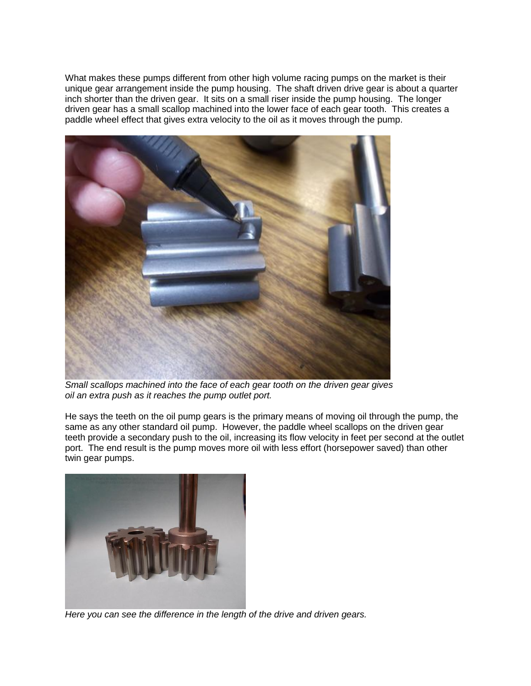What makes these pumps different from other high volume racing pumps on the market is their unique gear arrangement inside the pump housing. The shaft driven drive gear is about a quarter inch shorter than the driven gear. It sits on a small riser inside the pump housing. The longer driven gear has a small scallop machined into the lower face of each gear tooth. This creates a paddle wheel effect that gives extra velocity to the oil as it moves through the pump.



*Small scallops machined into the face of each gear tooth on the driven gear gives oil an extra push as it reaches the pump outlet port.*

He says the teeth on the oil pump gears is the primary means of moving oil through the pump, the same as any other standard oil pump. However, the paddle wheel scallops on the driven gear teeth provide a secondary push to the oil, increasing its flow velocity in feet per second at the outlet port. The end result is the pump moves more oil with less effort (horsepower saved) than other twin gear pumps.



*Here you can see the difference in the length of the drive and driven gears.*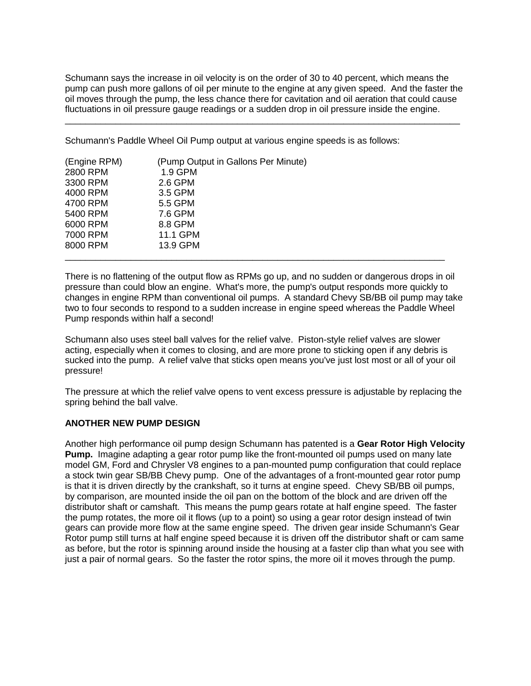Schumann says the increase in oil velocity is on the order of 30 to 40 percent, which means the pump can push more gallons of oil per minute to the engine at any given speed. And the faster the oil moves through the pump, the less chance there for cavitation and oil aeration that could cause fluctuations in oil pressure gauge readings or a sudden drop in oil pressure inside the engine.

\_\_\_\_\_\_\_\_\_\_\_\_\_\_\_\_\_\_\_\_\_\_\_\_\_\_\_\_\_\_\_\_\_\_\_\_\_\_\_\_\_\_\_\_\_\_\_\_\_\_\_\_\_\_\_\_\_\_\_\_\_\_\_\_\_\_\_\_\_\_\_\_\_\_\_\_\_\_

Schumann's Paddle Wheel Oil Pump output at various engine speeds is as follows:

| (Engine RPM) | (Pump Output in Gallons Per Minute) |  |
|--------------|-------------------------------------|--|
| 2800 RPM     | 1.9 GPM                             |  |
| 3300 RPM     | 2.6 GPM                             |  |
| 4000 RPM     | 3.5 GPM                             |  |
| 4700 RPM     | 5.5 GPM                             |  |
| 5400 RPM     | 7.6 GPM                             |  |
| 6000 RPM     | 8.8 GPM                             |  |
| 7000 RPM     | 11.1 GPM                            |  |
| 8000 RPM     | 13.9 GPM                            |  |
|              |                                     |  |

There is no flattening of the output flow as RPMs go up, and no sudden or dangerous drops in oil pressure than could blow an engine. What's more, the pump's output responds more quickly to changes in engine RPM than conventional oil pumps. A standard Chevy SB/BB oil pump may take two to four seconds to respond to a sudden increase in engine speed whereas the Paddle Wheel Pump responds within half a second!

Schumann also uses steel ball valves for the relief valve. Piston-style relief valves are slower acting, especially when it comes to closing, and are more prone to sticking open if any debris is sucked into the pump. A relief valve that sticks open means you've just lost most or all of your oil pressure!

The pressure at which the relief valve opens to vent excess pressure is adjustable by replacing the spring behind the ball valve.

## **ANOTHER NEW PUMP DESIGN**

Another high performance oil pump design Schumann has patented is a **Gear Rotor High Velocity Pump.** Imagine adapting a gear rotor pump like the front-mounted oil pumps used on many late model GM, Ford and Chrysler V8 engines to a pan-mounted pump configuration that could replace a stock twin gear SB/BB Chevy pump. One of the advantages of a front-mounted gear rotor pump is that it is driven directly by the crankshaft, so it turns at engine speed. Chevy SB/BB oil pumps, by comparison, are mounted inside the oil pan on the bottom of the block and are driven off the distributor shaft or camshaft. This means the pump gears rotate at half engine speed. The faster the pump rotates, the more oil it flows (up to a point) so using a gear rotor design instead of twin gears can provide more flow at the same engine speed. The driven gear inside Schumann's Gear Rotor pump still turns at half engine speed because it is driven off the distributor shaft or cam same as before, but the rotor is spinning around inside the housing at a faster clip than what you see with just a pair of normal gears. So the faster the rotor spins, the more oil it moves through the pump.